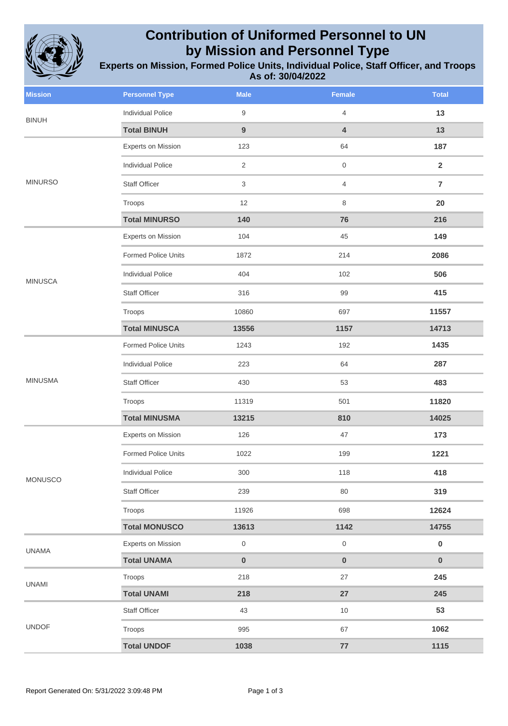

## **Contribution of Uniformed Personnel to UN by Mission and Personnel Type**

**Experts on Mission, Formed Police Units, Individual Police, Staff Officer, and Troops As of: 30/04/2022**

| <b>Mission</b> | <b>Personnel Type</b>    | <b>Male</b>      | <b>Female</b>       | <b>Total</b>   |
|----------------|--------------------------|------------------|---------------------|----------------|
| <b>BINUH</b>   | <b>Individual Police</b> | $9\,$            | 4                   | 13             |
|                | <b>Total BINUH</b>       | $\boldsymbol{9}$ | 4                   | 13             |
|                | Experts on Mission       | 123              | 64                  | 187            |
|                | <b>Individual Police</b> | $\overline{2}$   | 0                   | $\overline{2}$ |
| <b>MINURSO</b> | <b>Staff Officer</b>     | $\mathfrak{S}$   | 4                   | $\overline{7}$ |
|                | Troops                   | 12               | 8                   | 20             |
|                | <b>Total MINURSO</b>     | 140              | 76                  | 216            |
|                | Experts on Mission       | 104              | 45                  | 149            |
|                | Formed Police Units      | 1872             | 214                 | 2086           |
| <b>MINUSCA</b> | <b>Individual Police</b> | 404              | 102                 | 506            |
|                | <b>Staff Officer</b>     | 316              | 99                  | 415            |
|                | Troops                   | 10860            | 697                 | 11557          |
|                | <b>Total MINUSCA</b>     | 13556            | 1157                | 14713          |
|                | Formed Police Units      | 1243             | 192                 | 1435           |
|                | <b>Individual Police</b> | 223              | 64                  | 287            |
| <b>MINUSMA</b> | Staff Officer            | 430              | 53                  | 483            |
|                | Troops                   | 11319            | 501                 | 11820          |
|                | <b>Total MINUSMA</b>     | 13215            | 810                 | 14025          |
|                | Experts on Mission       | 126              | 47                  | 173            |
| <b>MONUSCO</b> | Formed Police Units      | 1022             | 199                 | 1221           |
|                | Individual Police        | 300              | 118                 | 418            |
|                | Staff Officer            | 239              | 80                  | 319            |
|                | Troops                   | 11926            | 698                 | 12624          |
|                | <b>Total MONUSCO</b>     | 13613            | 1142                | 14755          |
| <b>UNAMA</b>   | Experts on Mission       | $\,0\,$          | $\mathsf{O}\xspace$ | $\pmb{0}$      |
|                | <b>Total UNAMA</b>       | $\pmb{0}$        | $\pmb{0}$           | $\bf{0}$       |
| <b>UNAMI</b>   | Troops                   | 218              | 27                  | 245            |
|                | <b>Total UNAMI</b>       | 218              | 27                  | 245            |
| <b>UNDOF</b>   | Staff Officer            | 43               | 10                  | 53             |
|                | Troops                   | 995              | 67                  | 1062           |
|                | <b>Total UNDOF</b>       | 1038             | ${\bf 77}$          | 1115           |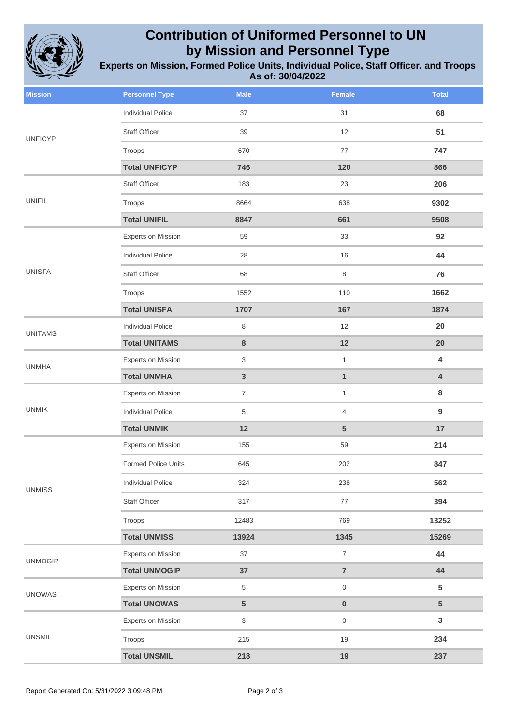

## **Contribution of Uniformed Personnel to UN by Mission and Personnel Type**

**Experts on Mission, Formed Police Units, Individual Police, Staff Officer, and Troops As of: 30/04/2022**

| <b>Mission</b> | <b>Personnel Type</b>     | <b>Male</b>             | <b>Female</b>           | <b>Total</b>            |
|----------------|---------------------------|-------------------------|-------------------------|-------------------------|
| <b>UNFICYP</b> | <b>Individual Police</b>  | 37                      | 31                      | 68                      |
|                | Staff Officer             | 39                      | 12                      | 51                      |
|                | Troops                    | 670                     | 77                      | 747                     |
|                | <b>Total UNFICYP</b>      | 746                     | 120                     | 866                     |
| <b>UNIFIL</b>  | Staff Officer             | 183                     | 23                      | 206                     |
|                | Troops                    | 8664                    | 638                     | 9302                    |
|                | <b>Total UNIFIL</b>       | 8847                    | 661                     | 9508                    |
|                | Experts on Mission        | 59                      | 33                      | 92                      |
|                | Individual Police         | 28                      | 16                      | 44                      |
| <b>UNISFA</b>  | <b>Staff Officer</b>      | 68                      | 8                       | 76                      |
|                | Troops                    | 1552                    | 110                     | 1662                    |
|                | <b>Total UNISFA</b>       | 1707                    | 167                     | 1874                    |
| <b>UNITAMS</b> | <b>Individual Police</b>  | 8                       | 12                      | 20                      |
|                | <b>Total UNITAMS</b>      | 8                       | 12                      | 20                      |
| <b>UNMHA</b>   | Experts on Mission        | 3                       | $\mathbf{1}$            | $\overline{\mathbf{4}}$ |
|                | <b>Total UNMHA</b>        | $\overline{\mathbf{3}}$ | $\mathbf{1}$            | $\overline{\mathbf{4}}$ |
| <b>UNMIK</b>   | Experts on Mission        | $\overline{7}$          | $\mathbf{1}$            | 8                       |
|                | <b>Individual Police</b>  | 5                       | 4                       | 9                       |
|                | <b>Total UNMIK</b>        | 12                      | $\overline{5}$          | 17                      |
| <b>UNMISS</b>  | Experts on Mission        | 155                     | 59                      | 214                     |
|                | Formed Police Units       | 645                     | 202                     | 847                     |
|                | Individual Police         | 324                     | 238                     | 562                     |
|                | Staff Officer             | 317                     | $77\,$                  | 394                     |
|                | Troops                    | 12483                   | 769                     | 13252                   |
|                | <b>Total UNMISS</b>       | 13924                   | 1345                    | 15269                   |
| <b>UNMOGIP</b> | <b>Experts on Mission</b> | 37                      | $\overline{7}$          | 44                      |
|                | <b>Total UNMOGIP</b>      | 37                      | $\overline{\mathbf{7}}$ | 44                      |
| <b>UNOWAS</b>  | Experts on Mission        | 5                       | $\mathsf{O}\xspace$     | $5\phantom{.0}$         |
|                | <b>Total UNOWAS</b>       | 5                       | $\pmb{0}$               | $5\phantom{.0}$         |
| <b>UNSMIL</b>  | <b>Experts on Mission</b> | $\mathfrak{S}$          | $\mathsf{O}$            | $\mathbf{3}$            |
|                | Troops                    | 215                     | 19                      | 234                     |
|                | <b>Total UNSMIL</b>       | 218                     | 19                      | 237                     |